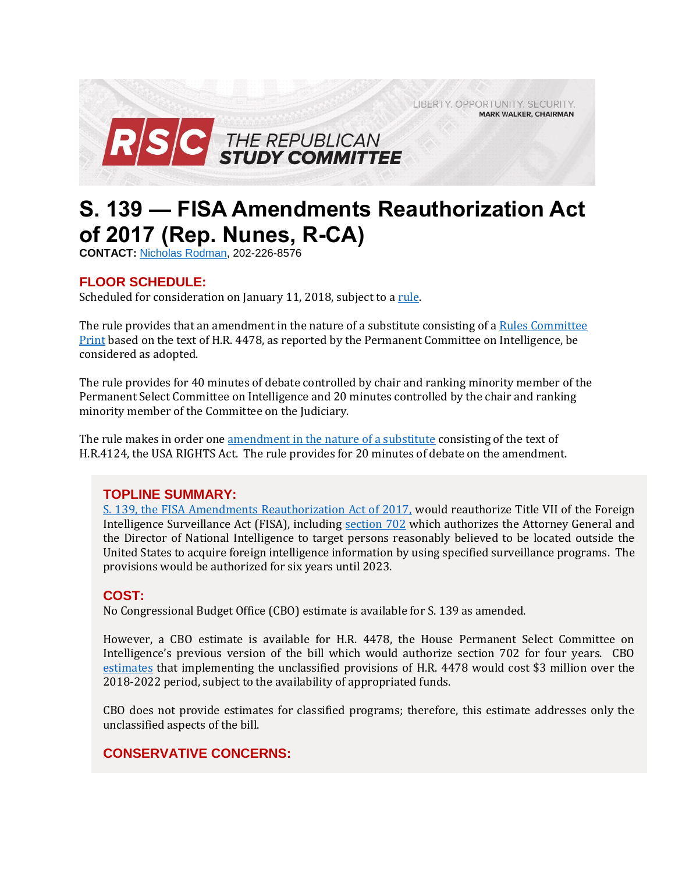LIBERTY. OPPORTUNITY. SECURITY. **MARK WALKER, CHAIRMAN** 



# **S. 139 — FISA Amendments Reauthorization Act of 2017 (Rep. Nunes, R-CA)**

**CONTACT:** [Nicholas Rodman,](mailto:nicholas.rodman@mail.house.gov) 202-226-8576

# **FLOOR SCHEDULE:**

Scheduled for consideration on January 11, 2018, subject to a [rule.](https://rules.house.gov/bill/115/s-139)

The rule provides that an amendment in the nature of a substitute consisting of a [Rules Committee](http://docs.house.gov/billsthisweek/20180108/BILLS-115S139-RCP115-%2053.pdf)  [Print](http://docs.house.gov/billsthisweek/20180108/BILLS-115S139-RCP115-%2053.pdf) based on the text of H.R. 4478, as reported by the Permanent Committee on Intelligence, be considered as adopted.

The rule provides for 40 minutes of debate controlled by chair and ranking minority member of the Permanent Select Committee on Intelligence and 20 minutes controlled by the chair and ranking minority member of the Committee on the Judiciary.

The rule makes in order one [amendment in the nature of a substitute](https://amendments-rules.house.gov/amendments/FISA_amd_01_xml18180933373337.pdf) consisting of the text of H.R.4124, the USA RIGHTS Act. The rule provides for 20 minutes of debate on the amendment.

## **TOPLINE SUMMARY:**

[S. 139, the FISA Amendments Reauthorization Act of 2017,](http://docs.house.gov/billsthisweek/20180108/BILLS-115S139-RCP115-%2053.pdf) would reauthorize Title VII of the Foreign Intelligence Surveillance Act (FISA), including [section 702](https://www.congress.gov/110/plaws/publ261/PLAW-110publ261.pdf) which authorizes the Attorney General and the Director of National Intelligence to target persons reasonably believed to be located outside the United States to acquire foreign intelligence information by using specified surveillance programs. The provisions would be authorized for six years until 2023.

## **COST:**

No Congressional Budget Office (CBO) estimate is available for S. 139 as amended.

However, a CBO estimate is available for H.R. 4478, the House Permanent Select Committee on Intelligence's previous version of the bill which would authorize section 702 for four years. CBO [estimates](https://www.cbo.gov/system/files/115th-congress-2017-2018/costestimate/hr4478.pdf) that implementing the unclassified provisions of H.R. 4478 would cost \$3 million over the 2018-2022 period, subject to the availability of appropriated funds.

CBO does not provide estimates for classified programs; therefore, this estimate addresses only the unclassified aspects of the bill.

# **CONSERVATIVE CONCERNS:**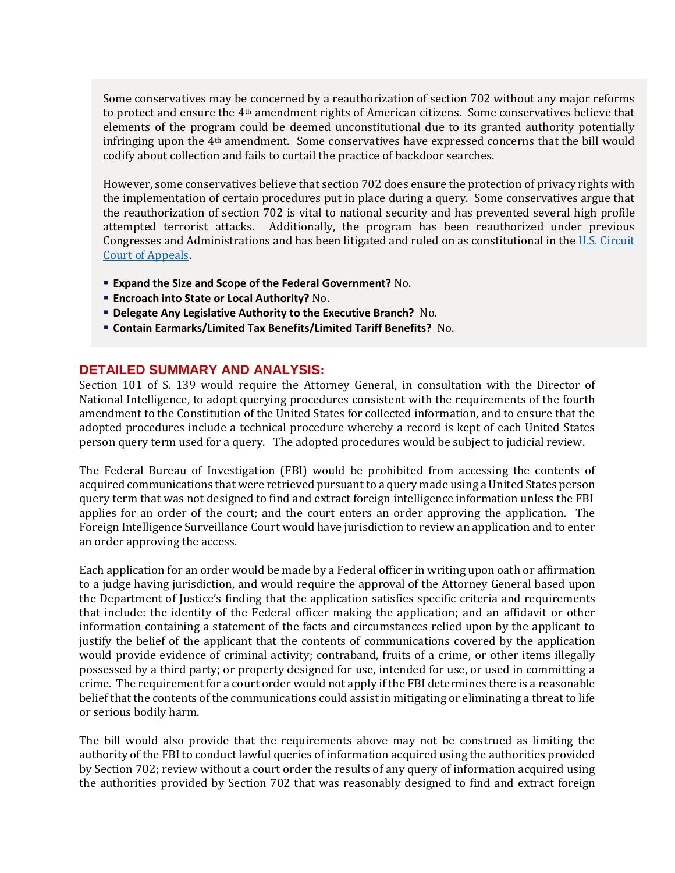Some conservatives may be concerned by a reauthorization of section 702 without any major reforms to protect and ensure the 4<sup>th</sup> amendment rights of American citizens. Some conservatives believe that elements of the program could be deemed unconstitutional due to its granted authority potentially infringing upon the 4th amendment. Some conservatives have expressed concerns that the bill would codify about collection and fails to curtail the practice of backdoor searches.

However, some conservatives believe that section 702 does ensure the protection of privacy rights with the implementation of certain procedures put in place during a query. Some conservatives argue that the reauthorization of section 702 is vital to national security and has prevented several high profile attempted terrorist attacks. Additionally, the program has been reauthorized under previous Congresses and Administrations and has been litigated and ruled on as constitutional in the [U.S. Circuit](http://cdn.ca9.uscourts.gov/datastore/opinions/2016/12/05/14-30217.pdf)  [Court of Appeals.](http://cdn.ca9.uscourts.gov/datastore/opinions/2016/12/05/14-30217.pdf)

- **Expand the Size and Scope of the Federal Government?** No.
- **Encroach into State or Local Authority?** No.
- **Delegate Any Legislative Authority to the Executive Branch?** No.
- **Contain Earmarks/Limited Tax Benefits/Limited Tariff Benefits?** No.

## **DETAILED SUMMARY AND ANALYSIS:**

Section 101 of S. 139 would require the Attorney General, in consultation with the Director of National Intelligence, to adopt querying procedures consistent with the requirements of the fourth amendment to the Constitution of the United States for collected information, and to ensure that the adopted procedures include a technical procedure whereby a record is kept of each United States person query term used for a query. The adopted procedures would be subject to judicial review.

The Federal Bureau of Investigation (FBI) would be prohibited from accessing the contents of acquired communications that were retrieved pursuant to a query made using a United States person query term that was not designed to find and extract foreign intelligence information unless the FBI applies for an order of the court; and the court enters an order approving the application. The Foreign Intelligence Surveillance Court would have jurisdiction to review an application and to enter an order approving the access.

Each application for an order would be made by a Federal officer in writing upon oath or affirmation to a judge having jurisdiction, and would require the approval of the Attorney General based upon the Department of Justice's finding that the application satisfies specific criteria and requirements that include: the identity of the Federal officer making the application; and an affidavit or other information containing a statement of the facts and circumstances relied upon by the applicant to justify the belief of the applicant that the contents of communications covered by the application would provide evidence of criminal activity; contraband, fruits of a crime, or other items illegally possessed by a third party; or property designed for use, intended for use, or used in committing a crime. The requirement for a court order would not apply if the FBI determines there is a reasonable belief that the contents of the communications could assist in mitigating or eliminating a threat to life or serious bodily harm.

The bill would also provide that the requirements above may not be construed as limiting the authority of the FBI to conduct lawful queries of information acquired using the authorities provided by Section 702; review without a court order the results of any query of information acquired using the authorities provided by Section 702 that was reasonably designed to find and extract foreign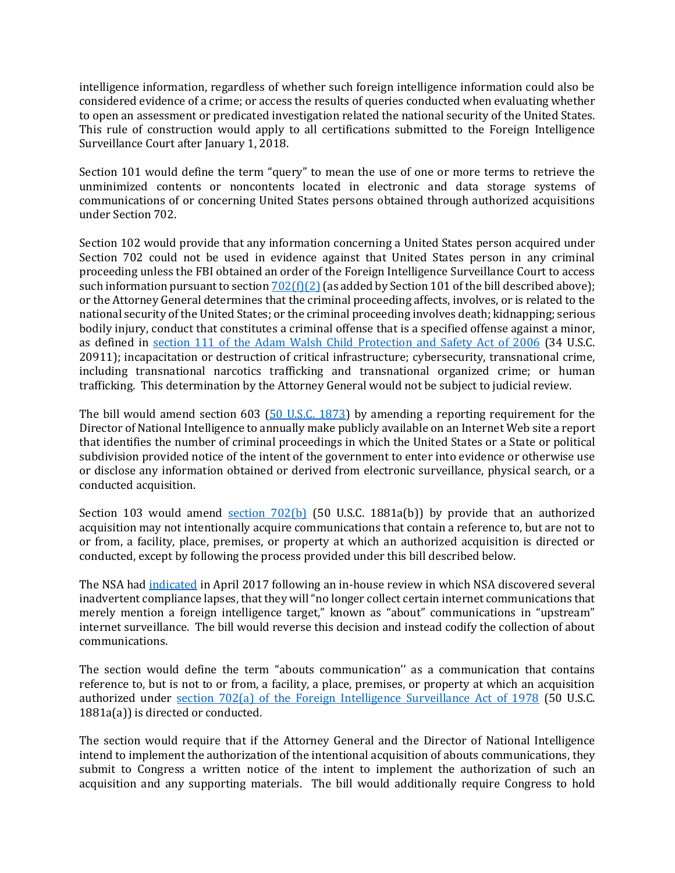intelligence information, regardless of whether such foreign intelligence information could also be considered evidence of a crime; or access the results of queries conducted when evaluating whether to open an assessment or predicated investigation related the national security of the United States. This rule of construction would apply to all certifications submitted to the Foreign Intelligence Surveillance Court after January 1, 2018.

Section 101 would define the term "query" to mean the use of one or more terms to retrieve the unminimized contents or noncontents located in electronic and data storage systems of communications of or concerning United States persons obtained through authorized acquisitions under Section 702.

Section 102 would provide that any information concerning a United States person acquired under Section 702 could not be used in evidence against that United States person in any criminal proceeding unless the FBI obtained an order of the Foreign Intelligence Surveillance Court to access such information pursuant to section  $702(f)(2)$  (as added by Section 101 of the bill described above); or the Attorney General determines that the criminal proceeding affects, involves, or is related to the national security of the United States; or the criminal proceeding involves death; kidnapping; serious bodily injury, conduct that constitutes a criminal offense that is a specified offense against a minor, as defined in [section 111 of the Adam Walsh Child Protection and Safety Act of 2006](https://www.congress.gov/109/plaws/publ248/PLAW-109publ248.pdf) (34 U.S.C. 20911); incapacitation or destruction of critical infrastructure; cybersecurity, transnational crime, including transnational narcotics trafficking and transnational organized crime; or human trafficking. This determination by the Attorney General would not be subject to judicial review.

The bill would amend section 603 [\(50 U.S.C. 1873\)](https://rules.house.gov/sites/republicans.rules.house.gov/files/115/PDF/S.139%20%5BFISA%5D/CP-115S139es-COMPARED-RCP115-53.pdf#page=19) by amending a reporting requirement for the Director of National Intelligence to annually make publicly available on an Internet Web site a report that identifies the number of criminal proceedings in which the United States or a State or political subdivision provided notice of the intent of the government to enter into evidence or otherwise use or disclose any information obtained or derived from electronic surveillance, physical search, or a conducted acquisition.

Section 103 would amend [section 702\(b\)](https://www.congress.gov/110/plaws/publ261/PLAW-110publ261.pdf) (50 U.S.C. 1881a(b)) by provide that an authorized acquisition may not intentionally acquire communications that contain a reference to, but are not to or from, a facility, place, premises, or property at which an authorized acquisition is directed or conducted, except by following the process provided under this bill described below.

The NSA had [indicated](https://www.nsa.gov/news-features/press-room/press-releases/2017/nsa-stops-certain-702-activites.shtml) in April 2017 following an in-house review in which NSA discovered several inadvertent compliance lapses, that they will "no longer collect certain internet communications that merely mention a foreign intelligence target," known as "about" communications in "upstream" internet surveillance. The bill would reverse this decision and instead codify the collection of about communications.

The section would define the term "abouts communication'' as a communication that contains reference to, but is not to or from, a facility, a place, premises, or property at which an acquisition authorized under [section 702\(a\) of the Foreign Intelligence Surveillance Act of 1978](https://rules.house.gov/sites/republicans.rules.house.gov/files/115/PDF/S.139%20%5BFISA%5D/CP-115S139es-COMPARED-RCP115-53.pdf#page=23) (50 U.S.C. 1881a(a)) is directed or conducted.

The section would require that if the Attorney General and the Director of National Intelligence intend to implement the authorization of the intentional acquisition of abouts communications, they submit to Congress a written notice of the intent to implement the authorization of such an acquisition and any supporting materials. The bill would additionally require Congress to hold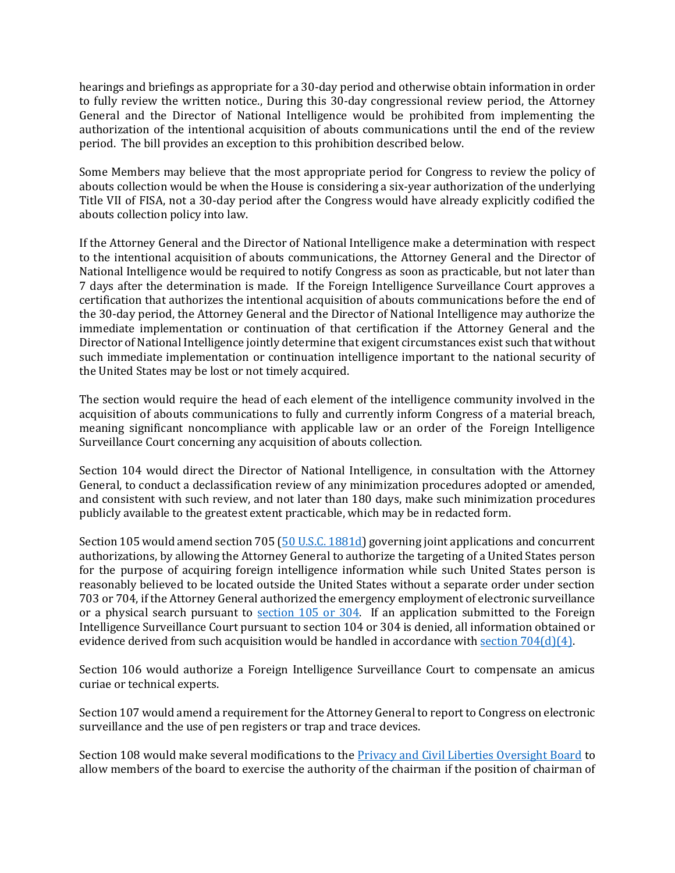hearings and briefings as appropriate for a 30-day period and otherwise obtain information in order to fully review the written notice., During this 30-day congressional review period, the Attorney General and the Director of National Intelligence would be prohibited from implementing the authorization of the intentional acquisition of abouts communications until the end of the review period. The bill provides an exception to this prohibition described below.

Some Members may believe that the most appropriate period for Congress to review the policy of abouts collection would be when the House is considering a six-year authorization of the underlying Title VII of FISA, not a 30-day period after the Congress would have already explicitly codified the abouts collection policy into law.

If the Attorney General and the Director of National Intelligence make a determination with respect to the intentional acquisition of abouts communications, the Attorney General and the Director of National Intelligence would be required to notify Congress as soon as practicable, but not later than 7 days after the determination is made. If the Foreign Intelligence Surveillance Court approves a certification that authorizes the intentional acquisition of abouts communications before the end of the 30-day period, the Attorney General and the Director of National Intelligence may authorize the immediate implementation or continuation of that certification if the Attorney General and the Director of National Intelligence jointly determine that exigent circumstances exist such that without such immediate implementation or continuation intelligence important to the national security of the United States may be lost or not timely acquired.

The section would require the head of each element of the intelligence community involved in the acquisition of abouts communications to fully and currently inform Congress of a material breach, meaning significant noncompliance with applicable law or an order of the Foreign Intelligence Surveillance Court concerning any acquisition of abouts collection.

Section 104 would direct the Director of National Intelligence, in consultation with the Attorney General, to conduct a declassification review of any minimization procedures adopted or amended, and consistent with such review, and not later than 180 days, make such minimization procedures publicly available to the greatest extent practicable, which may be in redacted form.

Section 105 would amend section 705 [\(50 U.S.C. 1881d\)](https://www.gpo.gov/fdsys/pkg/USCODE-2014-title50/pdf/USCODE-2014-title50-chap36-subchapVI-sec1881d.pdf) governing joint applications and concurrent authorizations, by allowing the Attorney General to authorize the targeting of a United States person for the purpose of acquiring foreign intelligence information while such United States person is reasonably believed to be located outside the United States without a separate order under section 703 or 704, if the Attorney General authorized the emergency employment of electronic surveillance or a physical search pursuant to [section 105 or 304.](https://www.gpo.gov/fdsys/pkg/STATUTE-92/pdf/STATUTE-92-Pg1783.pdf) If an application submitted to the Foreign Intelligence Surveillance Court pursuant to section 104 or 304 is denied, all information obtained or evidence derived from such acquisition would be handled in accordance with <u>section 704(d)</u>(4).

Section 106 would authorize a Foreign Intelligence Surveillance Court to compensate an amicus curiae or technical experts.

Section 107 would amend a requirement for the Attorney General to report to Congress on electronic surveillance and the use of pen registers or trap and trace devices.

Section 108 would make several modifications to the [Privacy and Civil Liberties Oversight Board](https://www.pclob.gov/) to allow members of the board to exercise the authority of the chairman if the position of chairman of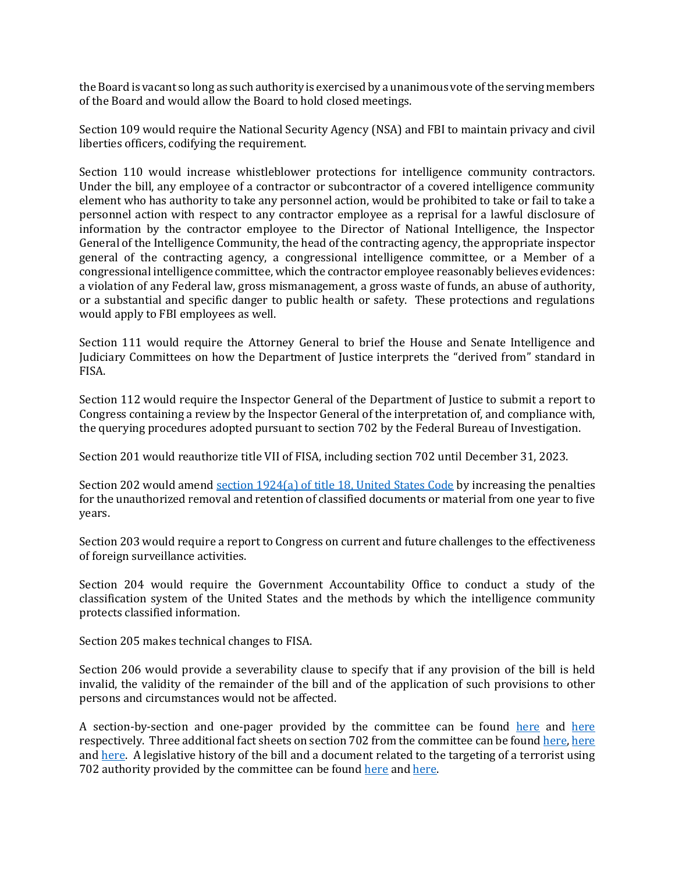the Board is vacant so long as such authority is exercised by a unanimous vote of the serving members of the Board and would allow the Board to hold closed meetings.

Section 109 would require the National Security Agency (NSA) and FBI to maintain privacy and civil liberties officers, codifying the requirement.

Section 110 would increase whistleblower protections for intelligence community contractors. Under the bill, any employee of a contractor or subcontractor of a covered intelligence community element who has authority to take any personnel action, would be prohibited to take or fail to take a personnel action with respect to any contractor employee as a reprisal for a lawful disclosure of information by the contractor employee to the Director of National Intelligence, the Inspector General of the Intelligence Community, the head of the contracting agency, the appropriate inspector general of the contracting agency, a congressional intelligence committee, or a Member of a congressional intelligence committee, which the contractor employee reasonably believes evidences: a violation of any Federal law, gross mismanagement, a gross waste of funds, an abuse of authority, or a substantial and specific danger to public health or safety. These protections and regulations would apply to FBI employees as well.

Section 111 would require the Attorney General to brief the House and Senate Intelligence and Judiciary Committees on how the Department of Justice interprets the "derived from" standard in FISA.

Section 112 would require the Inspector General of the Department of Justice to submit a report to Congress containing a review by the Inspector General of the interpretation of, and compliance with, the querying procedures adopted pursuant to section 702 by the Federal Bureau of Investigation.

Section 201 would reauthorize title VII of FISA, including section 702 until December 31, 2023.

Section 202 would amend section 1924(a) of [title 18, United States Code](https://www.gpo.gov/fdsys/pkg/USCODE-2011-title18/pdf/USCODE-2011-title18-partI-chap93-sec1924.pdf) by increasing the penalties for the unauthorized removal and retention of classified documents or material from one year to five years.

Section 203 would require a report to Congress on current and future challenges to the effectiveness of foreign surveillance activities.

Section 204 would require the Government Accountability Office to conduct a study of the classification system of the United States and the methods by which the intelligence community protects classified information.

Section 205 makes technical changes to FISA.

Section 206 would provide a severability clause to specify that if any provision of the bill is held invalid, the validity of the remainder of the bill and of the application of such provisions to other persons and circumstances would not be affected.

A section-by-section and one-pager provided by the committee can be found [here](https://rules.house.gov/sites/republicans.rules.house.gov/files/115/PDF/S.139%20%5BFISA%5D/115-S139-SXS.pdf) and [here](https://intelligence.house.gov/uploadedfiles/s_139_highlights_final.pdf) respectively. Three additional fact sheets on section 702 from the committee can be found [here,](https://intelligence.house.gov/uploadedfiles/2017_section_702_fact_sheet.pdf) [here](https://intelligence.house.gov/uploadedfiles/setting_the_record_straight_2017_clean.pdf) and [here.](https://intelligence.house.gov/uploadedfiles/uspq_faq_2017_clean.pdf) A legislative history of the bill and a document related to the targeting of a terrorist using 702 authority provided by the committee can be found [here](https://intelligence.house.gov/uploadedfiles/reasons_to_support_fisa_section_702_reauthorization.pdf) an[d here.](https://intelligence.house.gov/uploadedfiles/haji_iman.pdf)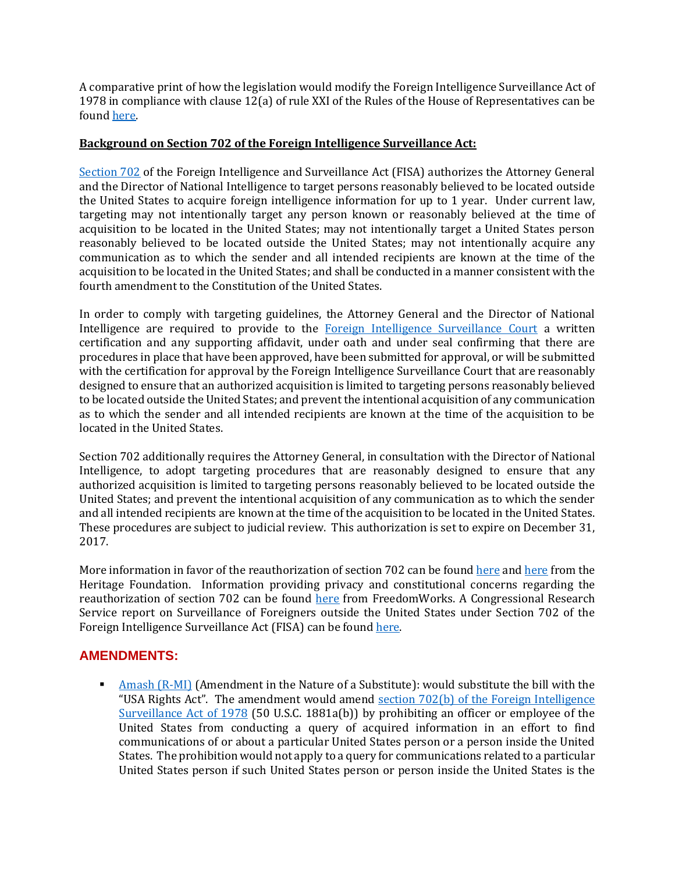A comparative print of how the legislation would modify the Foreign Intelligence Surveillance Act of 1978 in compliance with clause 12(a) of rule XXI of the Rules of the House of Representatives can be found [here.](https://rules.house.gov/sites/republicans.rules.house.gov/files/115/PDF/S.139%20%5BFISA%5D/CP-115S139es-COMPARED-RCP115-53.pdf) 

#### **Background on Section 702 of the Foreign Intelligence Surveillance Act:**

[Section 702](https://www.congress.gov/110/plaws/publ261/PLAW-110publ261.pdf) of the Foreign Intelligence and Surveillance Act (FISA) authorizes the Attorney General and the Director of National Intelligence to target persons reasonably believed to be located outside the United States to acquire foreign intelligence information for up to 1 year. Under current law, targeting may not intentionally target any person known or reasonably believed at the time of acquisition to be located in the United States; may not intentionally target a United States person reasonably believed to be located outside the United States; may not intentionally acquire any communication as to which the sender and all intended recipients are known at the time of the acquisition to be located in the United States; and shall be conducted in a manner consistent with the fourth amendment to the Constitution of the United States.

In order to comply with targeting guidelines, the Attorney General and the Director of National Intelligence are required to provide to the [Foreign Intelligence Surveillance Court](http://www.fisc.uscourts.gov/) a written certification and any supporting affidavit, under oath and under seal confirming that there are procedures in place that have been approved, have been submitted for approval, or will be submitted with the certification for approval by the Foreign Intelligence Surveillance Court that are reasonably designed to ensure that an authorized acquisition is limited to targeting persons reasonably believed to be located outside the United States; and prevent the intentional acquisition of any communication as to which the sender and all intended recipients are known at the time of the acquisition to be located in the United States.

Section 702 additionally requires the Attorney General, in consultation with the Director of National Intelligence, to adopt targeting procedures that are reasonably designed to ensure that any authorized acquisition is limited to targeting persons reasonably believed to be located outside the United States; and prevent the intentional acquisition of any communication as to which the sender and all intended recipients are known at the time of the acquisition to be located in the United States. These procedures are subject to judicial review. This authorization is set to expire on December 31, 2017.

More information in favor of the reauthorization of section 702 can be found [here](http://dailysignal.com/2017/10/30/new-cyber-bill-strikes-better-balance-keeping-agencies-accountable/) and here from the Heritage Foundation. Information providing privacy and constitutional concerns regarding the reauthorization of section 702 can be found [here](http://www.freedomworks.org/content/freedomworks-principles-fisa-reform) from FreedomWorks. A Congressional Research Service report on Surveillance of Foreigners outside the United States under Section 702 of the Foreign Intelligence Surveillance Act (FISA) can be found [here.](http://www.crs.gov/reports/pdf/R44457) 

## **AMENDMENTS:**

[Amash \(R-MI\)](https://amendments-rules.house.gov/amendments/FISA_amd_01_xml18180933373337.pdf) (Amendment in the Nature of a Substitute): would substitute the bill with the "USA Rights Act". The amendment would amend section  $702(b)$  of the Foreign Intelligence [Surveillance Act of 1978](https://www.congress.gov/110/plaws/publ261/PLAW-110publ261.pdf) (50 U.S.C. 1881a(b)) by prohibiting an officer or employee of the United States from conducting a query of acquired information in an effort to find communications of or about a particular United States person or a person inside the United States. The prohibition would not apply to a query for communications related to a particular United States person if such United States person or person inside the United States is the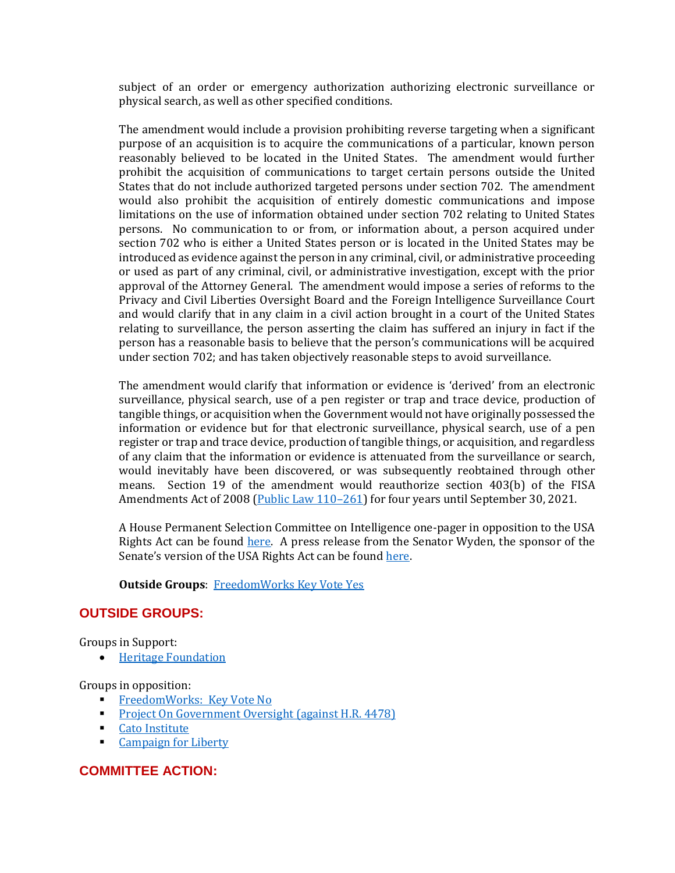subject of an order or emergency authorization authorizing electronic surveillance or physical search, as well as other specified conditions.

The amendment would include a provision prohibiting reverse targeting when a significant purpose of an acquisition is to acquire the communications of a particular, known person reasonably believed to be located in the United States. The amendment would further prohibit the acquisition of communications to target certain persons outside the United States that do not include authorized targeted persons under section 702. The amendment would also prohibit the acquisition of entirely domestic communications and impose limitations on the use of information obtained under section 702 relating to United States persons. No communication to or from, or information about, a person acquired under section 702 who is either a United States person or is located in the United States may be introduced as evidence against the person in any criminal, civil, or administrative proceeding or used as part of any criminal, civil, or administrative investigation, except with the prior approval of the Attorney General. The amendment would impose a series of reforms to the Privacy and Civil Liberties Oversight Board and the Foreign Intelligence Surveillance Court and would clarify that in any claim in a civil action brought in a court of the United States relating to surveillance, the person asserting the claim has suffered an injury in fact if the person has a reasonable basis to believe that the person's communications will be acquired under section 702; and has taken objectively reasonable steps to avoid surveillance.

The amendment would clarify that information or evidence is 'derived' from an electronic surveillance, physical search, use of a pen register or trap and trace device, production of tangible things, or acquisition when the Government would not have originally possessed the information or evidence but for that electronic surveillance, physical search, use of a pen register or trap and trace device, production of tangible things, or acquisition, and regardless of any claim that the information or evidence is attenuated from the surveillance or search, would inevitably have been discovered, or was subsequently reobtained through other means. Section 19 of the amendment would reauthorize section 403(b) of the FISA Amendments Act of 2008 [\(Public Law 110](https://www.congress.gov/110/plaws/publ261/PLAW-110publ261.pdf)–261) for four years until September 30, 2021.

A House Permanent Selection Committee on Intelligence one-pager in opposition to the USA Rights Act can be found [here.](https://intelligence.house.gov/uploadedfiles/the_dangers_of_the_usa_rights_act_final.pdf) A press release from the Senator Wyden, the sponsor of the Senate's version of the USA Rights Act can be found [here.](https://www.wyden.senate.gov/news/press-releases/bipartisan-coalition-introduces-usa-rights-act-to-reform-secretive-warrantless-spy-program)

#### **Outside Groups**: [FreedomWorks Key Vote Yes](http://www.freedomworks.org/content/key-vote-yes-usa-rights-act-amendment-s-139)

## **OUTSIDE GROUPS:**

Groups in Support:

[Heritage Foundation](http://www.heritage.org/terrorism/commentary/how-the-section-702-program-helps-america-thwart-terrorist-plots)

Groups in opposition:

- **[FreedomWorks: Key Vote No](http://www.freedomworks.org/content/key-vote-no-fisa-amendments-reauthorization-act-s-139).**
- [Project On Government Oversight](http://www.pogo.org/blog/2017/12/as-clock-ticks-down-on-warrantless-surveillance-authority-congress-races-to-the-bottom.html?referrer=https://www.google.com/) (against H.R. 4478)
- [Cato Institute](https://www.cato.org/publications/commentary/all-about-about-collection)
- **[Campaign for Liberty](http://www.campaignforliberty.org/week-congress-39)**

## **COMMITTEE ACTION:**